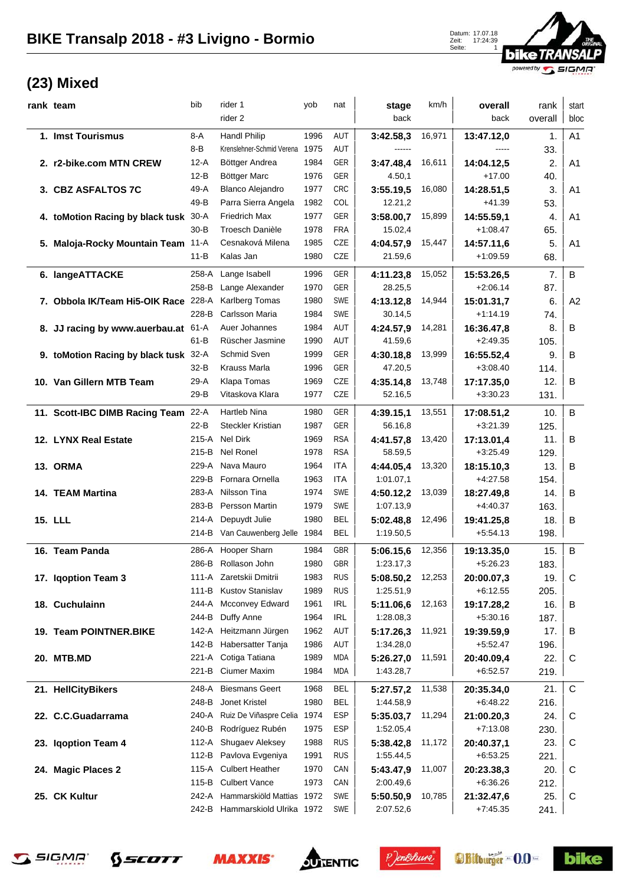Zeit: 17:24:39 Seite: 1



## **(23) Mixed**

| rank team                             | bib      | rider 1                         | yob  | nat        | stage     | km/h   | overall    | rank    | start          |
|---------------------------------------|----------|---------------------------------|------|------------|-----------|--------|------------|---------|----------------|
|                                       |          | rider 2                         |      |            | back      |        | back       | overall | bloc           |
| 1. Imst Tourismus                     | 8-A      | <b>Handl Philip</b>             | 1996 | AUT        | 3:42.58,3 | 16,971 | 13:47.12,0 | 1.      | A <sub>1</sub> |
|                                       | 8-B      | Krenslehner-Schmid Verena 1975  |      | AUT        | ------    |        | -----      | 33.     |                |
| 2. r2-bike.com MTN CREW               | $12-A$   | Böttger Andrea                  | 1984 | GER        | 3:47.48,4 | 16,611 | 14:04.12,5 | 2.      | A <sub>1</sub> |
|                                       | $12-B$   | Böttger Marc                    | 1976 | GER        | 4.50,1    |        | $+17.00$   | 40.     |                |
| 3. CBZ ASFALTOS 7C                    | 49-A     | <b>Blanco Alejandro</b>         | 1977 | <b>CRC</b> | 3:55.19,5 | 16,080 | 14:28.51,5 | 3.      | A <sub>1</sub> |
|                                       | 49-B     | Parra Sierra Angela             | 1982 | <b>COL</b> | 12.21,2   |        | $+41.39$   | 53.     |                |
| 4. toMotion Racing by black tusk 30-A |          | <b>Friedrich Max</b>            | 1977 | GER        | 3:58.00,7 | 15,899 | 14:55.59,1 | 4.      | A <sub>1</sub> |
|                                       | $30 - B$ | Troesch Danièle                 | 1978 | <b>FRA</b> | 15.02,4   |        | $+1:08.47$ | 65.     |                |
| 5. Maloja-Rocky Mountain Team 11-A    |          | Cesnaková Milena                | 1985 | CZE        | 4:04.57,9 | 15,447 | 14:57.11,6 | 5.      | A <sub>1</sub> |
|                                       | $11 - B$ | Kalas Jan                       | 1980 | <b>CZE</b> | 21.59,6   |        | $+1:09.59$ | 68.     |                |
| 6. langeATTACKE                       | 258-A    | Lange Isabell                   | 1996 | GER        | 4:11.23,8 | 15,052 | 15:53.26,5 | 7.      | $\sf B$        |
|                                       | 258-B    | Lange Alexander                 | 1970 | GER        | 28.25,5   |        | $+2:06.14$ | 87.     |                |
| 7. Obbola IK/Team Hi5-OIK Race 228-A  |          | Karlberg Tomas                  | 1980 | SWE        | 4:13.12,8 | 14,944 | 15:01.31,7 | 6.      | A2             |
|                                       | 228-B    | Carlsson Maria                  | 1984 | SWE        | 30.14,5   |        | $+1:14.19$ | 74.     |                |
| 8. JJ racing by www.auerbau.at 61-A   |          | Auer Johannes                   | 1984 | AUT        | 4:24.57,9 | 14,281 | 16:36.47,8 | 8.      | B              |
|                                       | 61-B     | Rüscher Jasmine                 | 1990 | AUT        | 41.59,6   |        | $+2:49.35$ | 105.    |                |
| 9. toMotion Racing by black tusk 32-A |          | Schmid Sven                     | 1999 | GER        | 4:30.18,8 | 13,999 | 16:55.52,4 | 9.      | B              |
|                                       | $32-B$   | Krauss Marla                    | 1996 | GER        | 47.20,5   |        | $+3:08.40$ | 114.    |                |
| 10. Van Gillern MTB Team              | 29-A     | Klapa Tomas                     | 1969 | CZE        | 4:35.14,8 | 13,748 | 17:17.35,0 | 12.     | B              |
|                                       | 29-B     | Vitaskova Klara                 | 1977 | CZE        | 52.16,5   |        | $+3:30.23$ | 131.    |                |
| 11. Scott-IBC DIMB Racing Team 22-A   |          | Hartleb Nina                    | 1980 | GER        | 4:39.15,1 | 13,551 | 17:08.51,2 | 10.     | B              |
|                                       | $22-B$   | <b>Steckler Kristian</b>        | 1987 | GER        | 56.16,8   |        | $+3:21.39$ | 125.    |                |
| 12. LYNX Real Estate                  | 215-A    | Nel Dirk                        | 1969 | <b>RSA</b> | 4:41.57,8 | 13,420 | 17:13.01,4 | 11.     | B              |
|                                       | 215-B    | Nel Ronel                       | 1978 | <b>RSA</b> | 58.59,5   |        | $+3:25.49$ | 129.    |                |
| 13. ORMA                              | 229-A    | Nava Mauro                      | 1964 | ITA        | 4:44.05.4 | 13,320 | 18:15.10,3 | 13.     | B              |
|                                       | 229-B    | Fornara Ornella                 | 1963 | ITA        | 1:01.07,1 |        | $+4:27.58$ | 154.    |                |
| 14. TEAM Martina                      | 283-A    | Nilsson Tina                    | 1974 | SWE        | 4:50.12,2 | 13,039 | 18:27.49,8 | 14.     | B              |
|                                       | 283-B    | Persson Martin                  | 1979 | SWE        | 1:07.13,9 |        | $+4:40.37$ | 163.    |                |
| <b>15. LLL</b>                        | 214-A    | Depuydt Julie                   | 1980 | <b>BEL</b> | 5:02.48,8 | 12,496 | 19:41.25,8 | 18.     | B              |
|                                       |          | 214-B Van Cauwenberg Jelle 1984 |      | BEL        | 1:19.50,5 |        | $+5:54.13$ | 198.    |                |
| 16. Team Panda                        | 286-A    | Hooper Sharn                    | 1984 | <b>GBR</b> | 5:06.15,6 | 12,356 | 19:13.35,0 | 15.     | B              |
|                                       |          | 286-B Rollason John             | 1980 | GBR        | 1:23.17,3 |        | $+5:26.23$ | 183.    |                |
| 17. Iqoption Team 3                   |          | 111-A Zaretskii Dmitrii         | 1983 | <b>RUS</b> | 5:08.50,2 | 12,253 | 20:00.07,3 | 19.     | C              |
|                                       | 111-B    | <b>Kustov Stanislav</b>         | 1989 | <b>RUS</b> | 1:25.51,9 |        | $+6:12.55$ | 205.    |                |
| 18. Cuchulainn                        | 244-A    | <b>Mcconvey Edward</b>          | 1961 | <b>IRL</b> | 5:11.06,6 | 12,163 | 19:17.28,2 | 16.     | В              |
|                                       | 244-B    | Duffy Anne                      | 1964 | <b>IRL</b> | 1:28.08,3 |        | $+5:30.16$ | 187.    |                |
| 19. Team POINTNER.BIKE                | 142-A    | Heitzmann Jürgen                | 1962 | AUT        | 5:17.26,3 | 11,921 | 19:39.59,9 | 17.     | В              |
|                                       | 142-B    | Habersatter Tanja               | 1986 | AUT        | 1:34.28,0 |        | $+5:52.47$ | 196.    |                |
| <b>20. MTB.MD</b>                     | 221-A    | Cotiga Tatiana                  | 1989 | MDA        | 5:26.27,0 | 11,591 | 20:40.09,4 | 22.     | C              |
|                                       | 221-B    | Ciumer Maxim                    | 1984 | MDA        | 1:43.28,7 |        | $+6.52.57$ | 219.    |                |
| 21. HellCityBikers                    | 248-A    | <b>Biesmans Geert</b>           | 1968 | <b>BEL</b> | 5:27.57,2 | 11,538 | 20:35.34,0 | 21.     | C              |
|                                       | 248-B    | Jonet Kristel                   | 1980 | <b>BEL</b> | 1:44.58,9 |        | $+6:48.22$ | 216.    |                |
| 22. C.C.Guadarrama                    | 240-A    | Ruiz De Viñaspre Celia          | 1974 | ESP        | 5:35.03,7 | 11,294 | 21:00.20,3 | 24.     | C              |
|                                       | 240-B    | Rodríguez Rubén                 | 1975 | <b>ESP</b> | 1:52.05,4 |        | $+7:13.08$ | 230.    |                |
| 23. Iqoption Team 4                   | 112-A    | Shugaev Aleksey                 | 1988 | <b>RUS</b> | 5:38.42,8 | 11,172 | 20:40.37,1 | 23.     | C              |
|                                       | 112-B    | Pavlova Evgeniya                | 1991 | <b>RUS</b> | 1:55.44,5 |        | $+6:53.25$ | 221.    |                |
| 24. Magic Places 2                    | 115-A    | <b>Culbert Heather</b>          | 1970 | CAN        | 5:43.47,9 | 11,007 | 20:23.38,3 | 20.     | C              |
|                                       | 115-B    | <b>Culbert Vance</b>            | 1973 | CAN        | 2:00.49,6 |        | $+6:36.26$ | 212.    |                |
| 25. CK Kultur                         | 242-A    | Hammarskiöld Mattias            | 1972 | SWE        | 5:50.50,9 | 10,785 | 21:32.47,6 | 25.     | C              |
|                                       |          | 242-B Hammarskiold Ulrika 1972  |      | SWE        | 2:07.52,6 |        | $+7:45.35$ | 241.    |                |